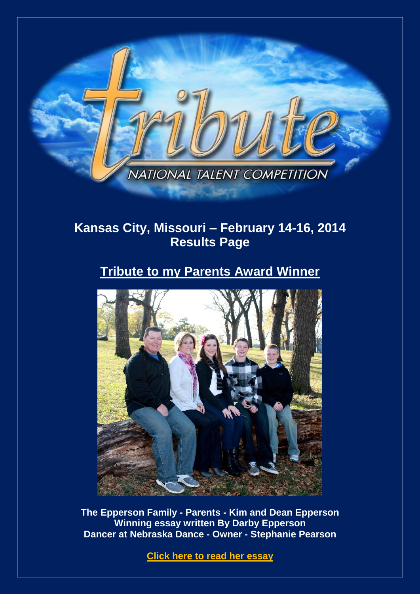

# **Kansas City, Missouri – February 14-16, 2014 Results Page**

# **Tribute to my Parents Award Winner**



**The Epperson Family - Parents - Kim and Dean Epperson Winning essay written By Darby Epperson Dancer at Nebraska Dance - Owner - Stephanie Pearson**

**[Click here to read](http://www.tributetodance.com/2014/essays/kcessay.pdf) her essay**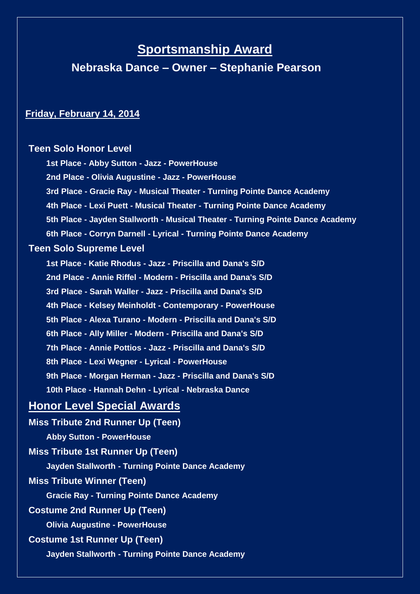# **Sportsmanship Award**

**Nebraska Dance – Owner – Stephanie Pearson**

## **Friday, February 14, 2014**

## **Teen Solo Honor Level**

**1st Place - Abby Sutton - Jazz - PowerHouse 2nd Place - Olivia Augustine - Jazz - PowerHouse 3rd Place - Gracie Ray - Musical Theater - Turning Pointe Dance Academy 4th Place - Lexi Puett - Musical Theater - Turning Pointe Dance Academy 5th Place - Jayden Stallworth - Musical Theater - Turning Pointe Dance Academy 6th Place - Corryn Darnell - Lyrical - Turning Pointe Dance Academy Teen Solo Supreme Level 1st Place - Katie Rhodus - Jazz - Priscilla and Dana's S/D 2nd Place - Annie Riffel - Modern - Priscilla and Dana's S/D 3rd Place - Sarah Waller - Jazz - Priscilla and Dana's S/D 4th Place - Kelsey Meinholdt - Contemporary - PowerHouse 5th Place - Alexa Turano - Modern - Priscilla and Dana's S/D 6th Place - Ally Miller - Modern - Priscilla and Dana's S/D 7th Place - Annie Pottios - Jazz - Priscilla and Dana's S/D 8th Place - Lexi Wegner - Lyrical - PowerHouse 9th Place - Morgan Herman - Jazz - Priscilla and Dana's S/D 10th Place - Hannah Dehn - Lyrical - Nebraska Dance Honor Level Special Awards Miss Tribute 2nd Runner Up (Teen) Abby Sutton - PowerHouse Miss Tribute 1st Runner Up (Teen) Jayden Stallworth - Turning Pointe Dance Academy Miss Tribute Winner (Teen) Gracie Ray - Turning Pointe Dance Academy Costume 2nd Runner Up (Teen) Olivia Augustine - PowerHouse Costume 1st Runner Up (Teen) Jayden Stallworth - Turning Pointe Dance Academy**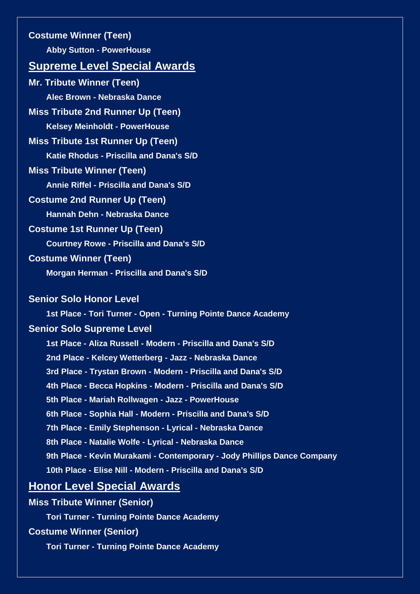**Costume Winner (Teen) Abby Sutton - PowerHouse Supreme Level Special Awards Mr. Tribute Winner (Teen) Alec Brown - Nebraska Dance Miss Tribute 2nd Runner Up (Teen) Kelsey Meinholdt - PowerHouse Miss Tribute 1st Runner Up (Teen) Katie Rhodus - Priscilla and Dana's S/D Miss Tribute Winner (Teen) Annie Riffel - Priscilla and Dana's S/D Costume 2nd Runner Up (Teen) Hannah Dehn - Nebraska Dance Costume 1st Runner Up (Teen) Courtney Rowe - Priscilla and Dana's S/D Costume Winner (Teen) Morgan Herman - Priscilla and Dana's S/D Senior Solo Honor Level 1st Place - Tori Turner - Open - Turning Pointe Dance Academy Senior Solo Supreme Level 1st Place - Aliza Russell - Modern - Priscilla and Dana's S/D 2nd Place - Kelcey Wetterberg - Jazz - Nebraska Dance 3rd Place - Trystan Brown - Modern - Priscilla and Dana's S/D 4th Place - Becca Hopkins - Modern - Priscilla and Dana's S/D 5th Place - Mariah Rollwagen - Jazz - PowerHouse 6th Place - Sophia Hall - Modern - Priscilla and Dana's S/D 7th Place - Emily Stephenson - Lyrical - Nebraska Dance**

**8th Place - Natalie Wolfe - Lyrical - Nebraska Dance**

**9th Place - Kevin Murakami - Contemporary - Jody Phillips Dance Company**

**10th Place - Elise Nill - Modern - Priscilla and Dana's S/D**

## **Honor Level Special Awards**

**Miss Tribute Winner (Senior)**

**Tori Turner - Turning Pointe Dance Academy**

**Costume Winner (Senior)**

**Tori Turner - Turning Pointe Dance Academy**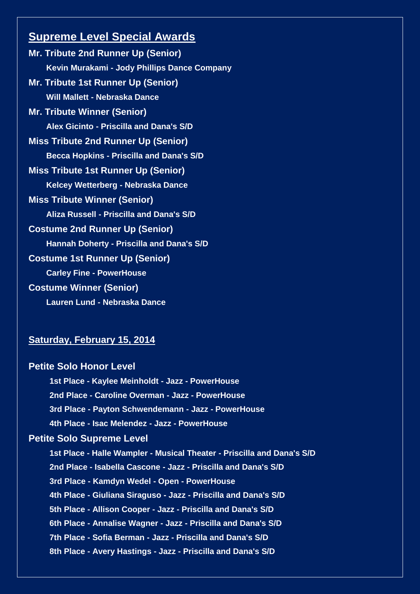## **Supreme Level Special Awards**

**Mr. Tribute 2nd Runner Up (Senior) Kevin Murakami - Jody Phillips Dance Company Mr. Tribute 1st Runner Up (Senior) Will Mallett - Nebraska Dance Mr. Tribute Winner (Senior) Alex Gicinto - Priscilla and Dana's S/D Miss Tribute 2nd Runner Up (Senior) Becca Hopkins - Priscilla and Dana's S/D Miss Tribute 1st Runner Up (Senior) Kelcey Wetterberg - Nebraska Dance Miss Tribute Winner (Senior) Aliza Russell - Priscilla and Dana's S/D Costume 2nd Runner Up (Senior) Hannah Doherty - Priscilla and Dana's S/D Costume 1st Runner Up (Senior) Carley Fine - PowerHouse Costume Winner (Senior) Lauren Lund - Nebraska Dance**

## **Saturday, February 15, 2014**

| <b>Petite Solo Honor Level</b>                                         |
|------------------------------------------------------------------------|
| 1st Place - Kaylee Meinholdt - Jazz - PowerHouse                       |
| 2nd Place - Caroline Overman - Jazz - PowerHouse                       |
| 3rd Place - Payton Schwendemann - Jazz - PowerHouse                    |
| 4th Place - Isac Melendez - Jazz - PowerHouse                          |
| <b>Petite Solo Supreme Level</b>                                       |
| 1st Place - Halle Wampler - Musical Theater - Priscilla and Dana's S/D |
| 2nd Place - Isabella Cascone - Jazz - Priscilla and Dana's S/D         |
| 3rd Place - Kamdyn Wedel - Open - PowerHouse                           |
| 4th Place - Giuliana Siraguso - Jazz - Priscilla and Dana's S/D        |
| 5th Place - Allison Cooper - Jazz - Priscilla and Dana's S/D           |
| 6th Place - Annalise Wagner - Jazz - Priscilla and Dana's S/D          |
| 7th Place - Sofia Berman - Jazz - Priscilla and Dana's S/D             |
| 8th Place - Avery Hastings - Jazz - Priscilla and Dana's S/D           |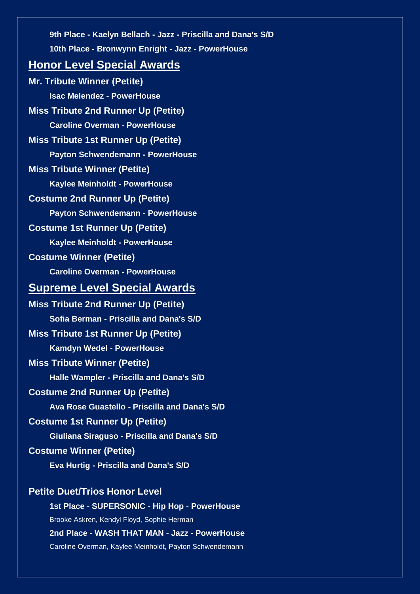**9th Place - Kaelyn Bellach - Jazz - Priscilla and Dana's S/D 10th Place - Bronwynn Enright - Jazz - PowerHouse**

## **Honor Level Special Awards**

**Mr. Tribute Winner (Petite) Isac Melendez - PowerHouse Miss Tribute 2nd Runner Up (Petite) Caroline Overman - PowerHouse Miss Tribute 1st Runner Up (Petite) Payton Schwendemann - PowerHouse Miss Tribute Winner (Petite) Kaylee Meinholdt - PowerHouse Costume 2nd Runner Up (Petite) Payton Schwendemann - PowerHouse Costume 1st Runner Up (Petite) Kaylee Meinholdt - PowerHouse Costume Winner (Petite) Caroline Overman - PowerHouse Supreme Level Special Awards Miss Tribute 2nd Runner Up (Petite) Sofia Berman - Priscilla and Dana's S/D Miss Tribute 1st Runner Up (Petite) Kamdyn Wedel - PowerHouse Miss Tribute Winner (Petite) Halle Wampler - Priscilla and Dana's S/D Costume 2nd Runner Up (Petite) Ava Rose Guastello - Priscilla and Dana's S/D Costume 1st Runner Up (Petite) Giuliana Siraguso - Priscilla and Dana's S/D Costume Winner (Petite) Eva Hurtig - Priscilla and Dana's S/D**

## **Petite Duet/Trios Honor Level**

**1st Place - SUPERSONIC - Hip Hop - PowerHouse** Brooke Askren, Kendyl Floyd, Sophie Herman **2nd Place - WASH THAT MAN - Jazz - PowerHouse**

Caroline Overman, Kaylee Meinholdt, Payton Schwendemann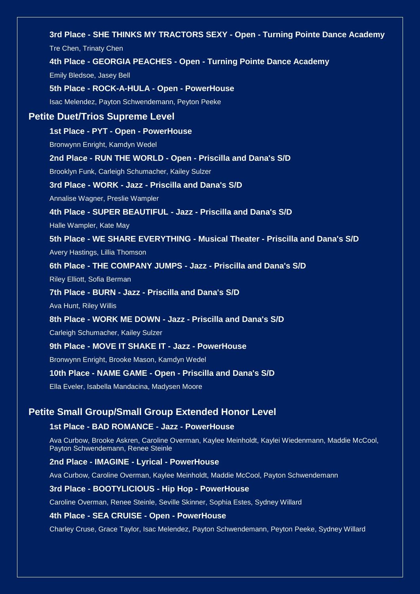# **3rd Place - SHE THINKS MY TRACTORS SEXY - Open - Turning Pointe Dance Academy** Tre Chen, Trinaty Chen **4th Place - GEORGIA PEACHES - Open - Turning Pointe Dance Academy** Emily Bledsoe, Jasey Bell **5th Place - ROCK-A-HULA - Open - PowerHouse** Isac Melendez, Payton Schwendemann, Peyton Peeke **Petite Duet/Trios Supreme Level 1st Place - PYT - Open - PowerHouse** Bronwynn Enright, Kamdyn Wedel **2nd Place - RUN THE WORLD - Open - Priscilla and Dana's S/D** Brooklyn Funk, Carleigh Schumacher, Kailey Sulzer **3rd Place - WORK - Jazz - Priscilla and Dana's S/D** Annalise Wagner, Preslie Wampler **4th Place - SUPER BEAUTIFUL - Jazz - Priscilla and Dana's S/D** Halle Wampler, Kate May **5th Place - WE SHARE EVERYTHING - Musical Theater - Priscilla and Dana's S/D** Avery Hastings, Lillia Thomson **6th Place - THE COMPANY JUMPS - Jazz - Priscilla and Dana's S/D** Riley Elliott, Sofia Berman **7th Place - BURN - Jazz - Priscilla and Dana's S/D** Ava Hunt, Riley Willis **8th Place - WORK ME DOWN - Jazz - Priscilla and Dana's S/D** Carleigh Schumacher, Kailey Sulzer **9th Place - MOVE IT SHAKE IT - Jazz - PowerHouse** Bronwynn Enright, Brooke Mason, Kamdyn Wedel **10th Place - NAME GAME - Open - Priscilla and Dana's S/D** Ella Eveler, Isabella Mandacina, Madysen Moore **Petite Small Group/Small Group Extended Honor Level 1st Place - BAD ROMANCE - Jazz - PowerHouse** Ava Curbow, Brooke Askren, Caroline Overman, Kaylee Meinholdt, Kaylei Wiedenmann, Maddie McCool, Payton Schwendemann, Renee Steinle **2nd Place - IMAGINE - Lyrical - PowerHouse** Ava Curbow, Caroline Overman, Kaylee Meinholdt, Maddie McCool, Payton Schwendemann **3rd Place - BOOTYLICIOUS - Hip Hop - PowerHouse**

Caroline Overman, Renee Steinle, Seville Skinner, Sophia Estes, Sydney Willard

#### **4th Place - SEA CRUISE - Open - PowerHouse**

Charley Cruse, Grace Taylor, Isac Melendez, Payton Schwendemann, Peyton Peeke, Sydney Willard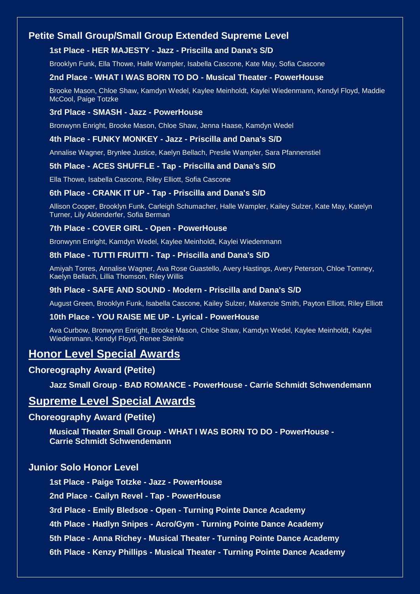## **Petite Small Group/Small Group Extended Supreme Level**

#### **1st Place - HER MAJESTY - Jazz - Priscilla and Dana's S/D**

Brooklyn Funk, Ella Thowe, Halle Wampler, Isabella Cascone, Kate May, Sofia Cascone

#### **2nd Place - WHAT I WAS BORN TO DO - Musical Theater - PowerHouse**

Brooke Mason, Chloe Shaw, Kamdyn Wedel, Kaylee Meinholdt, Kaylei Wiedenmann, Kendyl Floyd, Maddie McCool, Paige Totzke

#### **3rd Place - SMASH - Jazz - PowerHouse**

Bronwynn Enright, Brooke Mason, Chloe Shaw, Jenna Haase, Kamdyn Wedel

#### **4th Place - FUNKY MONKEY - Jazz - Priscilla and Dana's S/D**

Annalise Wagner, Brynlee Justice, Kaelyn Bellach, Preslie Wampler, Sara Pfannenstiel

#### **5th Place - ACES SHUFFLE - Tap - Priscilla and Dana's S/D**

Ella Thowe, Isabella Cascone, Riley Elliott, Sofia Cascone

#### **6th Place - CRANK IT UP - Tap - Priscilla and Dana's S/D**

Allison Cooper, Brooklyn Funk, Carleigh Schumacher, Halle Wampler, Kailey Sulzer, Kate May, Katelyn Turner, Lily Aldenderfer, Sofia Berman

#### **7th Place - COVER GIRL - Open - PowerHouse**

Bronwynn Enright, Kamdyn Wedel, Kaylee Meinholdt, Kaylei Wiedenmann

#### **8th Place - TUTTI FRUITTI - Tap - Priscilla and Dana's S/D**

Amiyah Torres, Annalise Wagner, Ava Rose Guastello, Avery Hastings, Avery Peterson, Chloe Tomney, Kaelyn Bellach, Lillia Thomson, Riley Willis

### **9th Place - SAFE AND SOUND - Modern - Priscilla and Dana's S/D**

August Green, Brooklyn Funk, Isabella Cascone, Kailey Sulzer, Makenzie Smith, Payton Elliott, Riley Elliott

#### **10th Place - YOU RAISE ME UP - Lyrical - PowerHouse**

Ava Curbow, Bronwynn Enright, Brooke Mason, Chloe Shaw, Kamdyn Wedel, Kaylee Meinholdt, Kaylei Wiedenmann, Kendyl Floyd, Renee Steinle

## **Honor Level Special Awards**

#### **Choreography Award (Petite)**

**Jazz Small Group - BAD ROMANCE - PowerHouse - Carrie Schmidt Schwendemann**

## **Supreme Level Special Awards**

#### **Choreography Award (Petite)**

**Musical Theater Small Group - WHAT I WAS BORN TO DO - PowerHouse - Carrie Schmidt Schwendemann**

## **Junior Solo Honor Level**

**1st Place - Paige Totzke - Jazz - PowerHouse**

**2nd Place - Cailyn Revel - Tap - PowerHouse**

**3rd Place - Emily Bledsoe - Open - Turning Pointe Dance Academy**

**4th Place - Hadlyn Snipes - Acro/Gym - Turning Pointe Dance Academy**

**5th Place - Anna Richey - Musical Theater - Turning Pointe Dance Academy**

**6th Place - Kenzy Phillips - Musical Theater - Turning Pointe Dance Academy**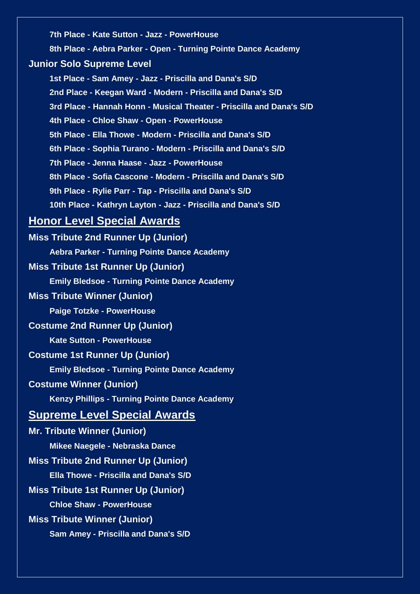**7th Place - Kate Sutton - Jazz - PowerHouse 8th Place - Aebra Parker - Open - Turning Pointe Dance Academy Junior Solo Supreme Level 1st Place - Sam Amey - Jazz - Priscilla and Dana's S/D 2nd Place - Keegan Ward - Modern - Priscilla and Dana's S/D 3rd Place - Hannah Honn - Musical Theater - Priscilla and Dana's S/D 4th Place - Chloe Shaw - Open - PowerHouse 5th Place - Ella Thowe - Modern - Priscilla and Dana's S/D 6th Place - Sophia Turano - Modern - Priscilla and Dana's S/D 7th Place - Jenna Haase - Jazz - PowerHouse 8th Place - Sofia Cascone - Modern - Priscilla and Dana's S/D 9th Place - Rylie Parr - Tap - Priscilla and Dana's S/D 10th Place - Kathryn Layton - Jazz - Priscilla and Dana's S/D Honor Level Special Awards Miss Tribute 2nd Runner Up (Junior) Aebra Parker - Turning Pointe Dance Academy Miss Tribute 1st Runner Up (Junior) Emily Bledsoe - Turning Pointe Dance Academy Miss Tribute Winner (Junior) Paige Totzke - PowerHouse Costume 2nd Runner Up (Junior) Kate Sutton - PowerHouse Costume 1st Runner Up (Junior) Emily Bledsoe - Turning Pointe Dance Academy Costume Winner (Junior) Kenzy Phillips - Turning Pointe Dance Academy Supreme Level Special Awards Mr. Tribute Winner (Junior) Mikee Naegele - Nebraska Dance Miss Tribute 2nd Runner Up (Junior) Ella Thowe - Priscilla and Dana's S/D Miss Tribute 1st Runner Up (Junior) Chloe Shaw - PowerHouse Miss Tribute Winner (Junior)**

**Sam Amey - Priscilla and Dana's S/D**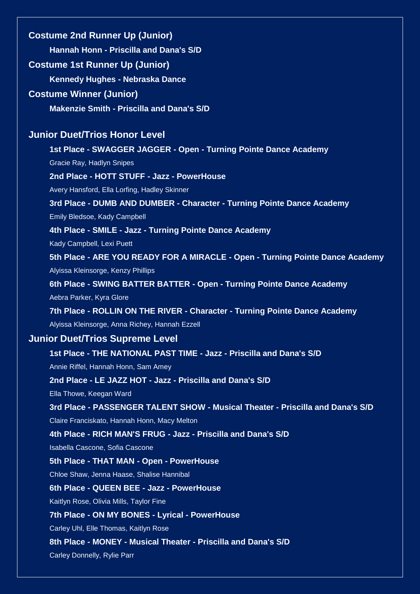**Costume 2nd Runner Up (Junior) Hannah Honn - Priscilla and Dana's S/D Costume 1st Runner Up (Junior) Kennedy Hughes - Nebraska Dance Costume Winner (Junior) Makenzie Smith - Priscilla and Dana's S/D Junior Duet/Trios Honor Level 1st Place - SWAGGER JAGGER - Open - Turning Pointe Dance Academy** Gracie Ray, Hadlyn Snipes **2nd Place - HOTT STUFF - Jazz - PowerHouse** Avery Hansford, Ella Lorfing, Hadley Skinner **3rd Place - DUMB AND DUMBER - Character - Turning Pointe Dance Academy** Emily Bledsoe, Kady Campbell **4th Place - SMILE - Jazz - Turning Pointe Dance Academy** Kady Campbell, Lexi Puett **5th Place - ARE YOU READY FOR A MIRACLE - Open - Turning Pointe Dance Academy** Alyissa Kleinsorge, Kenzy Phillips **6th Place - SWING BATTER BATTER - Open - Turning Pointe Dance Academy** Aebra Parker, Kyra Glore **7th Place - ROLLIN ON THE RIVER - Character - Turning Pointe Dance Academy** Alyissa Kleinsorge, Anna Richey, Hannah Ezzell **Junior Duet/Trios Supreme Level 1st Place - THE NATIONAL PAST TIME - Jazz - Priscilla and Dana's S/D** Annie Riffel, Hannah Honn, Sam Amey **2nd Place - LE JAZZ HOT - Jazz - Priscilla and Dana's S/D** Ella Thowe, Keegan Ward **3rd Place - PASSENGER TALENT SHOW - Musical Theater - Priscilla and Dana's S/D** Claire Franciskato, Hannah Honn, Macy Melton **4th Place - RICH MAN'S FRUG - Jazz - Priscilla and Dana's S/D** Isabella Cascone, Sofia Cascone **5th Place - THAT MAN - Open - PowerHouse** Chloe Shaw, Jenna Haase, Shalise Hannibal **6th Place - QUEEN BEE - Jazz - PowerHouse** Kaitlyn Rose, Olivia Mills, Taylor Fine **7th Place - ON MY BONES - Lyrical - PowerHouse** Carley Uhl, Elle Thomas, Kaitlyn Rose **8th Place - MONEY - Musical Theater - Priscilla and Dana's S/D** Carley Donnelly, Rylie Parr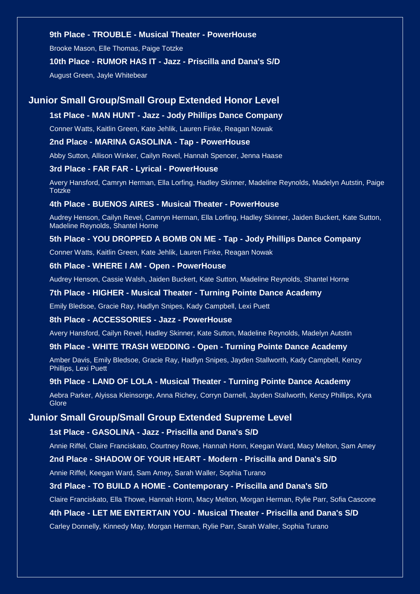#### **9th Place - TROUBLE - Musical Theater - PowerHouse**

Brooke Mason, Elle Thomas, Paige Totzke

#### **10th Place - RUMOR HAS IT - Jazz - Priscilla and Dana's S/D**

August Green, Jayle Whitebear

#### **Junior Small Group/Small Group Extended Honor Level**

#### **1st Place - MAN HUNT - Jazz - Jody Phillips Dance Company**

Conner Watts, Kaitlin Green, Kate Jehlik, Lauren Finke, Reagan Nowak

#### **2nd Place - MARINA GASOLINA - Tap - PowerHouse**

Abby Sutton, Allison Winker, Cailyn Revel, Hannah Spencer, Jenna Haase

#### **3rd Place - FAR FAR - Lyrical - PowerHouse**

Avery Hansford, Camryn Herman, Ella Lorfing, Hadley Skinner, Madeline Reynolds, Madelyn Autstin, Paige **Totzke** 

#### **4th Place - BUENOS AIRES - Musical Theater - PowerHouse**

Audrey Henson, Cailyn Revel, Camryn Herman, Ella Lorfing, Hadley Skinner, Jaiden Buckert, Kate Sutton, Madeline Reynolds, Shantel Horne

#### **5th Place - YOU DROPPED A BOMB ON ME - Tap - Jody Phillips Dance Company**

Conner Watts, Kaitlin Green, Kate Jehlik, Lauren Finke, Reagan Nowak

#### **6th Place - WHERE I AM - Open - PowerHouse**

Audrey Henson, Cassie Walsh, Jaiden Buckert, Kate Sutton, Madeline Reynolds, Shantel Horne

#### **7th Place - HIGHER - Musical Theater - Turning Pointe Dance Academy**

Emily Bledsoe, Gracie Ray, Hadlyn Snipes, Kady Campbell, Lexi Puett

#### **8th Place - ACCESSORIES - Jazz - PowerHouse**

Avery Hansford, Cailyn Revel, Hadley Skinner, Kate Sutton, Madeline Reynolds, Madelyn Autstin

#### **9th Place - WHITE TRASH WEDDING - Open - Turning Pointe Dance Academy**

Amber Davis, Emily Bledsoe, Gracie Ray, Hadlyn Snipes, Jayden Stallworth, Kady Campbell, Kenzy Phillips, Lexi Puett

#### **9th Place - LAND OF LOLA - Musical Theater - Turning Pointe Dance Academy**

Aebra Parker, Alyissa Kleinsorge, Anna Richey, Corryn Darnell, Jayden Stallworth, Kenzy Phillips, Kyra **Glore** 

#### **Junior Small Group/Small Group Extended Supreme Level**

#### **1st Place - GASOLINA - Jazz - Priscilla and Dana's S/D**

Annie Riffel, Claire Franciskato, Courtney Rowe, Hannah Honn, Keegan Ward, Macy Melton, Sam Amey

#### **2nd Place - SHADOW OF YOUR HEART - Modern - Priscilla and Dana's S/D**

Annie Riffel, Keegan Ward, Sam Amey, Sarah Waller, Sophia Turano

#### **3rd Place - TO BUILD A HOME - Contemporary - Priscilla and Dana's S/D**

Claire Franciskato, Ella Thowe, Hannah Honn, Macy Melton, Morgan Herman, Rylie Parr, Sofia Cascone

#### **4th Place - LET ME ENTERTAIN YOU - Musical Theater - Priscilla and Dana's S/D**

Carley Donnelly, Kinnedy May, Morgan Herman, Rylie Parr, Sarah Waller, Sophia Turano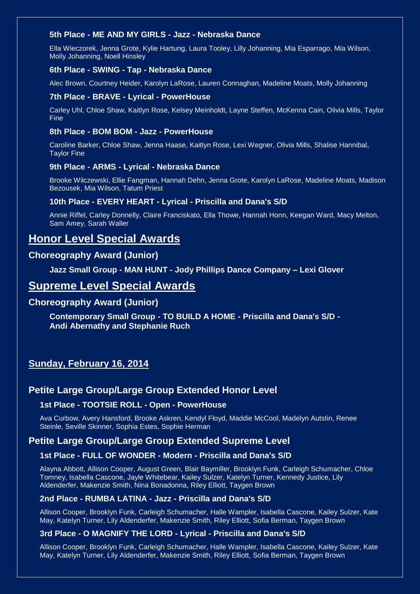#### **5th Place - ME AND MY GIRLS - Jazz - Nebraska Dance**

Ella Wieczorek, Jenna Grote, Kylie Hartung, Laura Tooley, Lilly Johanning, Mia Esparrago, Mia Wilson, Molly Johanning, Noell Hinsley

#### **6th Place - SWING - Tap - Nebraska Dance**

Alec Brown, Courtney Heider, Karolyn LaRose, Lauren Connaghan, Madeline Moats, Molly Johanning

#### **7th Place - BRAVE - Lyrical - PowerHouse**

Carley Uhl, Chloe Shaw, Kaitlyn Rose, Kelsey Meinholdt, Layne Steffen, McKenna Cain, Olivia Mills, Taylor Fine

#### **8th Place - BOM BOM - Jazz - PowerHouse**

Caroline Barker, Chloe Shaw, Jenna Haase, Kaitlyn Rose, Lexi Wegner, Olivia Mills, Shalise Hannibal, Taylor Fine

#### **9th Place - ARMS - Lyrical - Nebraska Dance**

Brooke Wilczewski, Ellie Fangman, Hannah Dehn, Jenna Grote, Karolyn LaRose, Madeline Moats, Madison Bezousek, Mia Wilson, Tatum Priest

#### **10th Place - EVERY HEART - Lyrical - Priscilla and Dana's S/D**

Annie Riffel, Carley Donnelly, Claire Franciskato, Ella Thowe, Hannah Honn, Keegan Ward, Macy Melton, Sam Amey, Sarah Waller

## **Honor Level Special Awards**

## **Choreography Award (Junior)**

**Jazz Small Group - MAN HUNT - Jody Phillips Dance Company – Lexi Glover**

## **Supreme Level Special Awards**

#### **Choreography Award (Junior)**

**Contemporary Small Group - TO BUILD A HOME - Priscilla and Dana's S/D - Andi Abernathy and Stephanie Ruch**

## **Sunday, February 16, 2014**

## **Petite Large Group/Large Group Extended Honor Level**

#### **1st Place - TOOTSIE ROLL - Open - PowerHouse**

Ava Curbow, Avery Hansford, Brooke Askren, Kendyl Floyd, Maddie McCool, Madelyn Autstin, Renee Steinle, Seville Skinner, Sophia Estes, Sophie Herman

## **Petite Large Group/Large Group Extended Supreme Level**

#### **1st Place - FULL OF WONDER - Modern - Priscilla and Dana's S/D**

Alayna Abbott, Allison Cooper, August Green, Blair Baymiller, Brooklyn Funk, Carleigh Schumacher, Chloe Tomney, Isabella Cascone, Jayle Whitebear, Kailey Sulzer, Katelyn Turner, Kennedy Justice, Lily Aldenderfer, Makenzie Smith, Nina Bonadonna, Riley Elliott, Taygen Brown

#### **2nd Place - RUMBA LATINA - Jazz - Priscilla and Dana's S/D**

Allison Cooper, Brooklyn Funk, Carleigh Schumacher, Halle Wampler, Isabella Cascone, Kailey Sulzer, Kate May, Katelyn Turner, Lily Aldenderfer, Makenzie Smith, Riley Elliott, Sofia Berman, Taygen Brown

#### **3rd Place - O MAGNIFY THE LORD - Lyrical - Priscilla and Dana's S/D**

Allison Cooper, Brooklyn Funk, Carleigh Schumacher, Halle Wampler, Isabella Cascone, Kailey Sulzer, Kate May, Katelyn Turner, Lily Aldenderfer, Makenzie Smith, Riley Elliott, Sofia Berman, Taygen Brown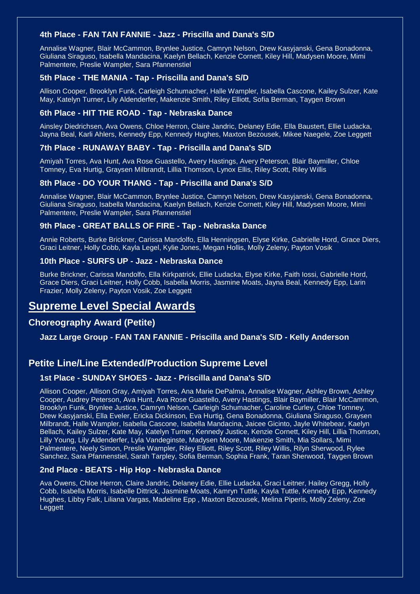#### **4th Place - FAN TAN FANNIE - Jazz - Priscilla and Dana's S/D**

Annalise Wagner, Blair McCammon, Brynlee Justice, Camryn Nelson, Drew Kasyjanski, Gena Bonadonna, Giuliana Siraguso, Isabella Mandacina, Kaelyn Bellach, Kenzie Cornett, Kiley Hill, Madysen Moore, Mimi Palmentere, Preslie Wampler, Sara Pfannenstiel

#### **5th Place - THE MANIA - Tap - Priscilla and Dana's S/D**

Allison Cooper, Brooklyn Funk, Carleigh Schumacher, Halle Wampler, Isabella Cascone, Kailey Sulzer, Kate May, Katelyn Turner, Lily Aldenderfer, Makenzie Smith, Riley Elliott, Sofia Berman, Taygen Brown

#### **6th Place - HIT THE ROAD - Tap - Nebraska Dance**

Ainsley Diedrichsen, Ava Owens, Chloe Herron, Claire Jandric, Delaney Edie, Ella Baustert, Ellie Ludacka, Jayna Beal, Karli Ahlers, Kennedy Epp, Kennedy Hughes, Maxton Bezousek, Mikee Naegele, Zoe Leggett

#### **7th Place - RUNAWAY BABY - Tap - Priscilla and Dana's S/D**

Amiyah Torres, Ava Hunt, Ava Rose Guastello, Avery Hastings, Avery Peterson, Blair Baymiller, Chloe Tomney, Eva Hurtig, Graysen Milbrandt, Lillia Thomson, Lynox Ellis, Riley Scott, Riley Willis

#### **8th Place - DO YOUR THANG - Tap - Priscilla and Dana's S/D**

Annalise Wagner, Blair McCammon, Brynlee Justice, Camryn Nelson, Drew Kasyjanski, Gena Bonadonna, Giuliana Siraguso, Isabella Mandacina, Kaelyn Bellach, Kenzie Cornett, Kiley Hill, Madysen Moore, Mimi Palmentere, Preslie Wampler, Sara Pfannenstiel

#### **9th Place - GREAT BALLS OF FIRE - Tap - Nebraska Dance**

Annie Roberts, Burke Brickner, Carissa Mandolfo, Ella Henningsen, Elyse Kirke, Gabrielle Hord, Grace Diers, Graci Leitner, Holly Cobb, Kayla Legel, Kylie Jones, Megan Hollis, Molly Zeleny, Payton Vosik

#### **10th Place - SURFS UP - Jazz - Nebraska Dance**

Burke Brickner, Carissa Mandolfo, Ella Kirkpatrick, Ellie Ludacka, Elyse Kirke, Faith Iossi, Gabrielle Hord, Grace Diers, Graci Leitner, Holly Cobb, Isabella Morris, Jasmine Moats, Jayna Beal, Kennedy Epp, Larin Frazier, Molly Zeleny, Payton Vosik, Zoe Leggett

## **Supreme Level Special Awards**

### **Choreography Award (Petite)**

#### **Jazz Large Group - FAN TAN FANNIE - Priscilla and Dana's S/D - Kelly Anderson**

## **Petite Line/Line Extended/Production Supreme Level**

#### **1st Place - SUNDAY SHOES - Jazz - Priscilla and Dana's S/D**

Allison Cooper, Allison Gray, Amiyah Torres, Ana Marie DePalma, Annalise Wagner, Ashley Brown, Ashley Cooper, Audrey Peterson, Ava Hunt, Ava Rose Guastello, Avery Hastings, Blair Baymiller, Blair McCammon, Brooklyn Funk, Brynlee Justice, Camryn Nelson, Carleigh Schumacher, Caroline Curley, Chloe Tomney, Drew Kasyjanski, Ella Eveler, Ericka Dickinson, Eva Hurtig, Gena Bonadonna, Giuliana Siraguso, Graysen Milbrandt, Halle Wampler, Isabella Cascone, Isabella Mandacina, Jaicee Gicinto, Jayle Whitebear, Kaelyn Bellach, Kailey Sulzer, Kate May, Katelyn Turner, Kennedy Justice, Kenzie Cornett, Kiley Hill, Lillia Thomson, Lilly Young, Lily Aldenderfer, Lyla Vandeginste, Madysen Moore, Makenzie Smith, Mia Sollars, Mimi Palmentere, Neely Simon, Preslie Wampler, Riley Elliott, Riley Scott, Riley Willis, Rilyn Sherwood, Rylee Sanchez, Sara Pfannenstiel, Sarah Tarpley, Sofia Berman, Sophia Frank, Taran Sherwood, Taygen Brown

#### **2nd Place - BEATS - Hip Hop - Nebraska Dance**

Ava Owens, Chloe Herron, Claire Jandric, Delaney Edie, Ellie Ludacka, Graci Leitner, Hailey Gregg, Holly Cobb, Isabella Morris, Isabelle Dittrick, Jasmine Moats, Kamryn Tuttle, Kayla Tuttle, Kennedy Epp, Kennedy Hughes, Libby Falk, Liliana Vargas, Madeline Epp , Maxton Bezousek, Melina Piperis, Molly Zeleny, Zoe **Leggett**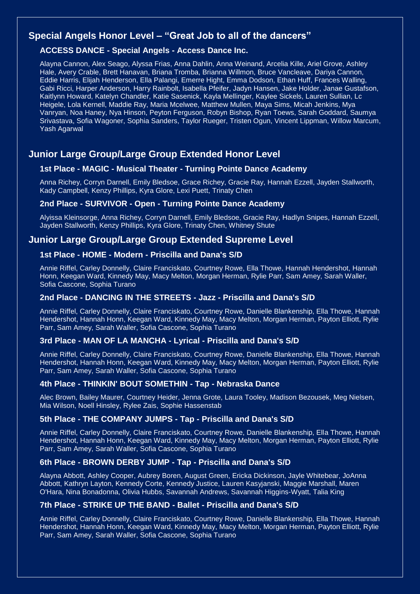## **Special Angels Honor Level – "Great Job to all of the dancers"**

#### **ACCESS DANCE - Special Angels - Access Dance Inc.**

Alayna Cannon, Alex Seago, Alyssa Frias, Anna Dahlin, Anna Weinand, Arcelia Kille, Ariel Grove, Ashley Hale, Avery Crable, Brett Hanavan, Briana Tromba, Brianna Willmon, Bruce Vancleave, Dariya Cannon, Eddie Harris, Elijah Henderson, Ella Palangi, Emerre Hight, Emma Dodson, Ethan Huff, Frances Walling, Gabi Ricci, Harper Anderson, Harry Rainbolt, Isabella Pfeifer, Jadyn Hansen, Jake Holder, Janae Gustafson, Kaitlynn Howard, Katelyn Chandler, Katie Sasenick, Kayla Mellinger, Kaylee Sickels, Lauren Sullian, Lc Heigele, Lola Kernell, Maddie Ray, Maria Mcelwee, Matthew Mullen, Maya Sims, Micah Jenkins, Mya Vanryan, Noa Haney, Nya Hinson, Peyton Ferguson, Robyn Bishop, Ryan Toews, Sarah Goddard, Saumya Srivastava, Sofia Wagoner, Sophia Sanders, Taylor Rueger, Tristen Ogun, Vincent Lippman, Willow Marcum, Yash Agarwal

## **Junior Large Group/Large Group Extended Honor Level**

### **1st Place - MAGIC - Musical Theater - Turning Pointe Dance Academy**

Anna Richey, Corryn Darnell, Emily Bledsoe, Grace Richey, Gracie Ray, Hannah Ezzell, Jayden Stallworth, Kady Campbell, Kenzy Phillips, Kyra Glore, Lexi Puett, Trinaty Chen

#### **2nd Place - SURVIVOR - Open - Turning Pointe Dance Academy**

Alyissa Kleinsorge, Anna Richey, Corryn Darnell, Emily Bledsoe, Gracie Ray, Hadlyn Snipes, Hannah Ezzell, Jayden Stallworth, Kenzy Phillips, Kyra Glore, Trinaty Chen, Whitney Shute

## **Junior Large Group/Large Group Extended Supreme Level**

#### **1st Place - HOME - Modern - Priscilla and Dana's S/D**

Annie Riffel, Carley Donnelly, Claire Franciskato, Courtney Rowe, Ella Thowe, Hannah Hendershot, Hannah Honn, Keegan Ward, Kinnedy May, Macy Melton, Morgan Herman, Rylie Parr, Sam Amey, Sarah Waller, Sofia Cascone, Sophia Turano

### **2nd Place - DANCING IN THE STREETS - Jazz - Priscilla and Dana's S/D**

Annie Riffel, Carley Donnelly, Claire Franciskato, Courtney Rowe, Danielle Blankenship, Ella Thowe, Hannah Hendershot, Hannah Honn, Keegan Ward, Kinnedy May, Macy Melton, Morgan Herman, Payton Elliott, Rylie Parr, Sam Amey, Sarah Waller, Sofia Cascone, Sophia Turano

#### **3rd Place - MAN OF LA MANCHA - Lyrical - Priscilla and Dana's S/D**

Annie Riffel, Carley Donnelly, Claire Franciskato, Courtney Rowe, Danielle Blankenship, Ella Thowe, Hannah Hendershot, Hannah Honn, Keegan Ward, Kinnedy May, Macy Melton, Morgan Herman, Payton Elliott, Rylie Parr, Sam Amey, Sarah Waller, Sofia Cascone, Sophia Turano

#### **4th Place - THINKIN' BOUT SOMETHIN - Tap - Nebraska Dance**

Alec Brown, Bailey Maurer, Courtney Heider, Jenna Grote, Laura Tooley, Madison Bezousek, Meg Nielsen, Mia Wilson, Noell Hinsley, Rylee Zais, Sophie Hassenstab

#### **5th Place - THE COMPANY JUMPS - Tap - Priscilla and Dana's S/D**

Annie Riffel, Carley Donnelly, Claire Franciskato, Courtney Rowe, Danielle Blankenship, Ella Thowe, Hannah Hendershot, Hannah Honn, Keegan Ward, Kinnedy May, Macy Melton, Morgan Herman, Payton Elliott, Rylie Parr, Sam Amey, Sarah Waller, Sofia Cascone, Sophia Turano

#### **6th Place - BROWN DERBY JUMP - Tap - Priscilla and Dana's S/D**

Alayna Abbott, Ashley Cooper, Aubrey Boren, August Green, Ericka Dickinson, Jayle Whitebear, JoAnna Abbott, Kathryn Layton, Kennedy Corte, Kennedy Justice, Lauren Kasyjanski, Maggie Marshall, Maren O'Hara, Nina Bonadonna, Olivia Hubbs, Savannah Andrews, Savannah Higgins-Wyatt, Talia King

#### **7th Place - STRIKE UP THE BAND - Ballet - Priscilla and Dana's S/D**

Annie Riffel, Carley Donnelly, Claire Franciskato, Courtney Rowe, Danielle Blankenship, Ella Thowe, Hannah Hendershot, Hannah Honn, Keegan Ward, Kinnedy May, Macy Melton, Morgan Herman, Payton Elliott, Rylie Parr, Sam Amey, Sarah Waller, Sofia Cascone, Sophia Turano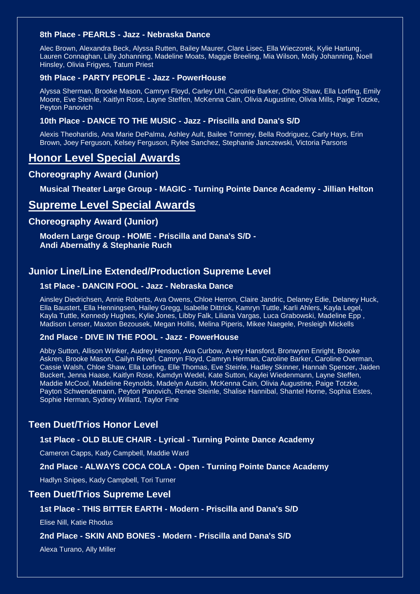#### **8th Place - PEARLS - Jazz - Nebraska Dance**

Alec Brown, Alexandra Beck, Alyssa Rutten, Bailey Maurer, Clare Lisec, Ella Wieczorek, Kylie Hartung, Lauren Connaghan, Lilly Johanning, Madeline Moats, Maggie Breeling, Mia Wilson, Molly Johanning, Noell Hinsley, Olivia Frigyes, Tatum Priest

#### **9th Place - PARTY PEOPLE - Jazz - PowerHouse**

Alyssa Sherman, Brooke Mason, Camryn Floyd, Carley Uhl, Caroline Barker, Chloe Shaw, Ella Lorfing, Emily Moore, Eve Steinle, Kaitlyn Rose, Layne Steffen, McKenna Cain, Olivia Augustine, Olivia Mills, Paige Totzke, Peyton Panovich

#### **10th Place - DANCE TO THE MUSIC - Jazz - Priscilla and Dana's S/D**

Alexis Theoharidis, Ana Marie DePalma, Ashley Ault, Bailee Tomney, Bella Rodriguez, Carly Hays, Erin Brown, Joey Ferguson, Kelsey Ferguson, Rylee Sanchez, Stephanie Janczewski, Victoria Parsons

## **Honor Level Special Awards**

### **Choreography Award (Junior)**

**Musical Theater Large Group - MAGIC - Turning Pointe Dance Academy - Jillian Helton**

## **Supreme Level Special Awards**

## **Choreography Award (Junior)**

**Modern Large Group - HOME - Priscilla and Dana's S/D - Andi Abernathy & Stephanie Ruch**

## **Junior Line/Line Extended/Production Supreme Level**

#### **1st Place - DANCIN FOOL - Jazz - Nebraska Dance**

Ainsley Diedrichsen, Annie Roberts, Ava Owens, Chloe Herron, Claire Jandric, Delaney Edie, Delaney Huck, Ella Baustert, Ella Henningsen, Hailey Gregg, Isabelle Dittrick, Kamryn Tuttle, Karli Ahlers, Kayla Legel, Kayla Tuttle, Kennedy Hughes, Kylie Jones, Libby Falk, Liliana Vargas, Luca Grabowski, Madeline Epp , Madison Lenser, Maxton Bezousek, Megan Hollis, Melina Piperis, Mikee Naegele, Presleigh Mickells

#### **2nd Place - DIVE IN THE POOL - Jazz - PowerHouse**

Abby Sutton, Allison Winker, Audrey Henson, Ava Curbow, Avery Hansford, Bronwynn Enright, Brooke Askren, Brooke Mason, Cailyn Revel, Camryn Floyd, Camryn Herman, Caroline Barker, Caroline Overman, Cassie Walsh, Chloe Shaw, Ella Lorfing, Elle Thomas, Eve Steinle, Hadley Skinner, Hannah Spencer, Jaiden Buckert, Jenna Haase, Kaitlyn Rose, Kamdyn Wedel, Kate Sutton, Kaylei Wiedenmann, Layne Steffen, Maddie McCool, Madeline Reynolds, Madelyn Autstin, McKenna Cain, Olivia Augustine, Paige Totzke, Payton Schwendemann, Peyton Panovich, Renee Steinle, Shalise Hannibal, Shantel Horne, Sophia Estes, Sophie Herman, Sydney Willard, Taylor Fine

## **Teen Duet/Trios Honor Level**

#### **1st Place - OLD BLUE CHAIR - Lyrical - Turning Pointe Dance Academy**

Cameron Capps, Kady Campbell, Maddie Ward

#### **2nd Place - ALWAYS COCA COLA - Open - Turning Pointe Dance Academy**

Hadlyn Snipes, Kady Campbell, Tori Turner

#### **Teen Duet/Trios Supreme Level**

#### **1st Place - THIS BITTER EARTH - Modern - Priscilla and Dana's S/D**

Elise Nill, Katie Rhodus

#### **2nd Place - SKIN AND BONES - Modern - Priscilla and Dana's S/D**

Alexa Turano, Ally Miller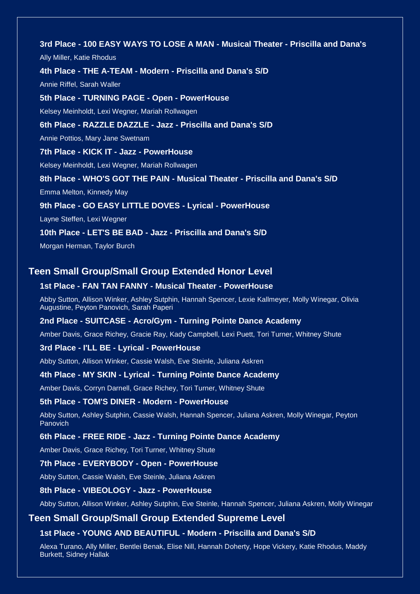**3rd Place - 100 EASY WAYS TO LOSE A MAN - Musical Theater - Priscilla and Dana's**  Ally Miller, Katie Rhodus **4th Place - THE A-TEAM - Modern - Priscilla and Dana's S/D** Annie Riffel, Sarah Waller **5th Place - TURNING PAGE - Open - PowerHouse** Kelsey Meinholdt, Lexi Wegner, Mariah Rollwagen **6th Place - RAZZLE DAZZLE - Jazz - Priscilla and Dana's S/D** Annie Pottios, Mary Jane Swetnam **7th Place - KICK IT - Jazz - PowerHouse** Kelsey Meinholdt, Lexi Wegner, Mariah Rollwagen **8th Place - WHO'S GOT THE PAIN - Musical Theater - Priscilla and Dana's S/D** Emma Melton, Kinnedy May **9th Place - GO EASY LITTLE DOVES - Lyrical - PowerHouse** Layne Steffen, Lexi Wegner **10th Place - LET'S BE BAD - Jazz - Priscilla and Dana's S/D**

Morgan Herman, Taylor Burch

### **Teen Small Group/Small Group Extended Honor Level**

#### **1st Place - FAN TAN FANNY - Musical Theater - PowerHouse**

Abby Sutton, Allison Winker, Ashley Sutphin, Hannah Spencer, Lexie Kallmeyer, Molly Winegar, Olivia Augustine, Peyton Panovich, Sarah Paperi

#### **2nd Place - SUITCASE - Acro/Gym - Turning Pointe Dance Academy**

Amber Davis, Grace Richey, Gracie Ray, Kady Campbell, Lexi Puett, Tori Turner, Whitney Shute

#### **3rd Place - I'LL BE - Lyrical - PowerHouse**

Abby Sutton, Allison Winker, Cassie Walsh, Eve Steinle, Juliana Askren

#### **4th Place - MY SKIN - Lyrical - Turning Pointe Dance Academy**

Amber Davis, Corryn Darnell, Grace Richey, Tori Turner, Whitney Shute

#### **5th Place - TOM'S DINER - Modern - PowerHouse**

Abby Sutton, Ashley Sutphin, Cassie Walsh, Hannah Spencer, Juliana Askren, Molly Winegar, Peyton Panovich

#### **6th Place - FREE RIDE - Jazz - Turning Pointe Dance Academy**

Amber Davis, Grace Richey, Tori Turner, Whitney Shute

#### **7th Place - EVERYBODY - Open - PowerHouse**

Abby Sutton, Cassie Walsh, Eve Steinle, Juliana Askren

#### **8th Place - VIBEOLOGY - Jazz - PowerHouse**

Abby Sutton, Allison Winker, Ashley Sutphin, Eve Steinle, Hannah Spencer, Juliana Askren, Molly Winegar

#### **Teen Small Group/Small Group Extended Supreme Level**

#### **1st Place - YOUNG AND BEAUTIFUL - Modern - Priscilla and Dana's S/D**

Alexa Turano, Ally Miller, Bentlei Benak, Elise Nill, Hannah Doherty, Hope Vickery, Katie Rhodus, Maddy Burkett, Sidney Hallak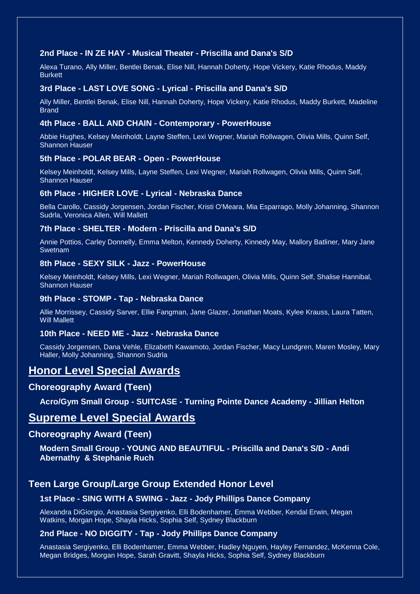#### **2nd Place - IN ZE HAY - Musical Theater - Priscilla and Dana's S/D**

Alexa Turano, Ally Miller, Bentlei Benak, Elise Nill, Hannah Doherty, Hope Vickery, Katie Rhodus, Maddy **Burkett** 

#### **3rd Place - LAST LOVE SONG - Lyrical - Priscilla and Dana's S/D**

Ally Miller, Bentlei Benak, Elise Nill, Hannah Doherty, Hope Vickery, Katie Rhodus, Maddy Burkett, Madeline Brand

#### **4th Place - BALL AND CHAIN - Contemporary - PowerHouse**

Abbie Hughes, Kelsey Meinholdt, Layne Steffen, Lexi Wegner, Mariah Rollwagen, Olivia Mills, Quinn Self, Shannon Hauser

#### **5th Place - POLAR BEAR - Open - PowerHouse**

Kelsey Meinholdt, Kelsey Mills, Layne Steffen, Lexi Wegner, Mariah Rollwagen, Olivia Mills, Quinn Self, Shannon Hauser

#### **6th Place - HIGHER LOVE - Lyrical - Nebraska Dance**

Bella Carollo, Cassidy Jorgensen, Jordan Fischer, Kristi O'Meara, Mia Esparrago, Molly Johanning, Shannon Sudrla, Veronica Allen, Will Mallett

#### **7th Place - SHELTER - Modern - Priscilla and Dana's S/D**

Annie Pottios, Carley Donnelly, Emma Melton, Kennedy Doherty, Kinnedy May, Mallory Batliner, Mary Jane Swetnam

#### **8th Place - SEXY SILK - Jazz - PowerHouse**

Kelsey Meinholdt, Kelsey Mills, Lexi Wegner, Mariah Rollwagen, Olivia Mills, Quinn Self, Shalise Hannibal, Shannon Hauser

#### **9th Place - STOMP - Tap - Nebraska Dance**

Allie Morrissey, Cassidy Sarver, Ellie Fangman, Jane Glazer, Jonathan Moats, Kylee Krauss, Laura Tatten, Will Mallett

#### **10th Place - NEED ME - Jazz - Nebraska Dance**

Cassidy Jorgensen, Dana Vehle, Elizabeth Kawamoto, Jordan Fischer, Macy Lundgren, Maren Mosley, Mary Haller, Molly Johanning, Shannon Sudrla

## **Honor Level Special Awards**

#### **Choreography Award (Teen)**

**Acro/Gym Small Group - SUITCASE - Turning Pointe Dance Academy - Jillian Helton**

## **Supreme Level Special Awards**

#### **Choreography Award (Teen)**

**Modern Small Group - YOUNG AND BEAUTIFUL - Priscilla and Dana's S/D - Andi Abernathy & Stephanie Ruch**

## **Teen Large Group/Large Group Extended Honor Level**

#### **1st Place - SING WITH A SWING - Jazz - Jody Phillips Dance Company**

Alexandra DiGiorgio, Anastasia Sergiyenko, Elli Bodenhamer, Emma Webber, Kendal Erwin, Megan Watkins, Morgan Hope, Shayla Hicks, Sophia Self, Sydney Blackburn

#### **2nd Place - NO DIGGITY - Tap - Jody Phillips Dance Company**

Anastasia Sergiyenko, Elli Bodenhamer, Emma Webber, Hadley Nguyen, Hayley Fernandez, McKenna Cole, Megan Bridges, Morgan Hope, Sarah Gravitt, Shayla Hicks, Sophia Self, Sydney Blackburn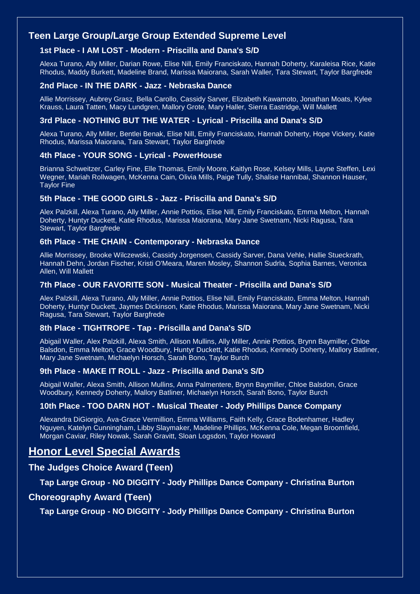## **Teen Large Group/Large Group Extended Supreme Level**

### **1st Place - I AM LOST - Modern - Priscilla and Dana's S/D**

Alexa Turano, Ally Miller, Darian Rowe, Elise Nill, Emily Franciskato, Hannah Doherty, Karaleisa Rice, Katie Rhodus, Maddy Burkett, Madeline Brand, Marissa Maiorana, Sarah Waller, Tara Stewart, Taylor Bargfrede

#### **2nd Place - IN THE DARK - Jazz - Nebraska Dance**

Allie Morrissey, Aubrey Grasz, Bella Carollo, Cassidy Sarver, Elizabeth Kawamoto, Jonathan Moats, Kylee Krauss, Laura Tatten, Macy Lundgren, Mallory Grote, Mary Haller, Sierra Eastridge, Will Mallett

#### **3rd Place - NOTHING BUT THE WATER - Lyrical - Priscilla and Dana's S/D**

Alexa Turano, Ally Miller, Bentlei Benak, Elise Nill, Emily Franciskato, Hannah Doherty, Hope Vickery, Katie Rhodus, Marissa Maiorana, Tara Stewart, Taylor Bargfrede

#### **4th Place - YOUR SONG - Lyrical - PowerHouse**

Brianna Schweitzer, Carley Fine, Elle Thomas, Emily Moore, Kaitlyn Rose, Kelsey Mills, Layne Steffen, Lexi Wegner, Mariah Rollwagen, McKenna Cain, Olivia Mills, Paige Tully, Shalise Hannibal, Shannon Hauser, Taylor Fine

### **5th Place - THE GOOD GIRLS - Jazz - Priscilla and Dana's S/D**

Alex Palzkill, Alexa Turano, Ally Miller, Annie Pottios, Elise Nill, Emily Franciskato, Emma Melton, Hannah Doherty, Huntyr Duckett, Katie Rhodus, Marissa Maiorana, Mary Jane Swetnam, Nicki Ragusa, Tara Stewart, Taylor Bargfrede

#### **6th Place - THE CHAIN - Contemporary - Nebraska Dance**

Allie Morrissey, Brooke Wilczewski, Cassidy Jorgensen, Cassidy Sarver, Dana Vehle, Hallie Stueckrath, Hannah Dehn, Jordan Fischer, Kristi O'Meara, Maren Mosley, Shannon Sudrla, Sophia Barnes, Veronica Allen, Will Mallett

#### **7th Place - OUR FAVORITE SON - Musical Theater - Priscilla and Dana's S/D**

Alex Palzkill, Alexa Turano, Ally Miller, Annie Pottios, Elise Nill, Emily Franciskato, Emma Melton, Hannah Doherty, Huntyr Duckett, Jaymes Dickinson, Katie Rhodus, Marissa Maiorana, Mary Jane Swetnam, Nicki Ragusa, Tara Stewart, Taylor Bargfrede

#### **8th Place - TIGHTROPE - Tap - Priscilla and Dana's S/D**

Abigail Waller, Alex Palzkill, Alexa Smith, Allison Mullins, Ally Miller, Annie Pottios, Brynn Baymiller, Chloe Balsdon, Emma Melton, Grace Woodbury, Huntyr Duckett, Katie Rhodus, Kennedy Doherty, Mallory Batliner, Mary Jane Swetnam, Michaelyn Horsch, Sarah Bono, Taylor Burch

#### **9th Place - MAKE IT ROLL - Jazz - Priscilla and Dana's S/D**

Abigail Waller, Alexa Smith, Allison Mullins, Anna Palmentere, Brynn Baymiller, Chloe Balsdon, Grace Woodbury, Kennedy Doherty, Mallory Batliner, Michaelyn Horsch, Sarah Bono, Taylor Burch

#### **10th Place - TOO DARN HOT - Musical Theater - Jody Phillips Dance Company**

Alexandra DiGiorgio, Ava-Grace Vermillion, Emma Williams, Faith Kelly, Grace Bodenhamer, Hadley Nguyen, Katelyn Cunningham, Libby Slaymaker, Madeline Phillips, McKenna Cole, Megan Broomfield, Morgan Caviar, Riley Nowak, Sarah Gravitt, Sloan Logsdon, Taylor Howard

## **Honor Level Special Awards**

## **The Judges Choice Award (Teen)**

**Tap Large Group - NO DIGGITY - Jody Phillips Dance Company - Christina Burton**

#### **Choreography Award (Teen)**

**Tap Large Group - NO DIGGITY - Jody Phillips Dance Company - Christina Burton**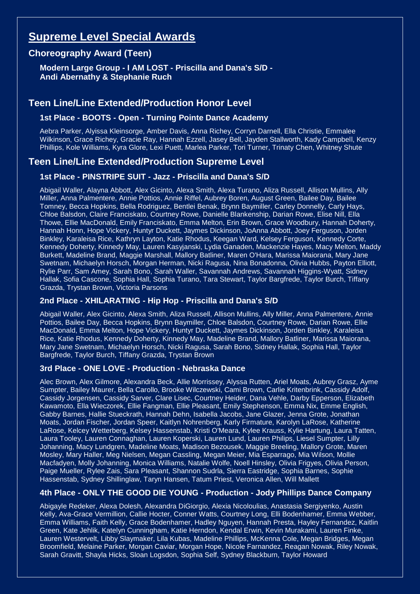# **Supreme Level Special Awards**

## **Choreography Award (Teen)**

**Modern Large Group - I AM LOST - Priscilla and Dana's S/D - Andi Abernathy & Stephanie Ruch**

## **Teen Line/Line Extended/Production Honor Level**

**1st Place - BOOTS - Open - Turning Pointe Dance Academy**

Aebra Parker, Alyissa Kleinsorge, Amber Davis, Anna Richey, Corryn Darnell, Ella Christie, Emmalee Wilkinson, Grace Richey, Gracie Ray, Hannah Ezzell, Jasey Bell, Jayden Stallworth, Kady Campbell, Kenzy Phillips, Kole Williams, Kyra Glore, Lexi Puett, Marlea Parker, Tori Turner, Trinaty Chen, Whitney Shute

## **Teen Line/Line Extended/Production Supreme Level**

## **1st Place - PINSTRIPE SUIT - Jazz - Priscilla and Dana's S/D**

Abigail Waller, Alayna Abbott, Alex Gicinto, Alexa Smith, Alexa Turano, Aliza Russell, Allison Mullins, Ally Miller, Anna Palmentere, Annie Pottios, Annie Riffel, Aubrey Boren, August Green, Bailee Day, Bailee Tomney, Becca Hopkins, Bella Rodriguez, Bentlei Benak, Brynn Baymiller, Carley Donnelly, Carly Hays, Chloe Balsdon, Claire Franciskato, Courtney Rowe, Danielle Blankenship, Darian Rowe, Elise Nill, Ella Thowe, Ellie MacDonald, Emily Franciskato, Emma Melton, Erin Brown, Grace Woodbury, Hannah Doherty, Hannah Honn, Hope Vickery, Huntyr Duckett, Jaymes Dickinson, JoAnna Abbott, Joey Ferguson, Jorden Binkley, Karaleisa Rice, Kathryn Layton, Katie Rhodus, Keegan Ward, Kelsey Ferguson, Kennedy Corte, Kennedy Doherty, Kinnedy May, Lauren Kasyjanski, Lydia Ganaden, Mackenzie Hayes, Macy Melton, Maddy Burkett, Madeline Brand, Maggie Marshall, Mallory Batliner, Maren O'Hara, Marissa Maiorana, Mary Jane Swetnam, Michaelyn Horsch, Morgan Herman, Nicki Ragusa, Nina Bonadonna, Olivia Hubbs, Payton Elliott, Rylie Parr, Sam Amey, Sarah Bono, Sarah Waller, Savannah Andrews, Savannah Higgins-Wyatt, Sidney Hallak, Sofia Cascone, Sophia Hall, Sophia Turano, Tara Stewart, Taylor Bargfrede, Taylor Burch, Tiffany Grazda, Trystan Brown, Victoria Parsons

### **2nd Place - XHILARATING - Hip Hop - Priscilla and Dana's S/D**

Abigail Waller, Alex Gicinto, Alexa Smith, Aliza Russell, Allison Mullins, Ally Miller, Anna Palmentere, Annie Pottios, Bailee Day, Becca Hopkins, Brynn Baymiller, Chloe Balsdon, Courtney Rowe, Darian Rowe, Ellie MacDonald, Emma Melton, Hope Vickery, Huntyr Duckett, Jaymes Dickinson, Jorden Binkley, Karaleisa Rice, Katie Rhodus, Kennedy Doherty, Kinnedy May, Madeline Brand, Mallory Batliner, Marissa Maiorana, Mary Jane Swetnam, Michaelyn Horsch, Nicki Ragusa, Sarah Bono, Sidney Hallak, Sophia Hall, Taylor Bargfrede, Taylor Burch, Tiffany Grazda, Trystan Brown

#### **3rd Place - ONE LOVE - Production - Nebraska Dance**

Alec Brown, Alex Gilmore, Alexandra Beck, Allie Morrissey, Alyssa Rutten, Ariel Moats, Aubrey Grasz, Ayme Sumpter, Bailey Maurer, Bella Carollo, Brooke Wilczewski, Cami Brown, Carlie Kritenbrink, Cassidy Adolf, Cassidy Jorgensen, Cassidy Sarver, Clare Lisec, Courtney Heider, Dana Vehle, Darby Epperson, Elizabeth Kawamoto, Ella Wieczorek, Ellie Fangman, Ellie Pleasant, Emily Stephenson, Emma Nix, Emme English, Gabby Barnes, Hallie Stueckrath, Hannah Dehn, Isabella Jacobs, Jane Glazer, Jenna Grote, Jonathan Moats, Jordan Fischer, Jordan Speer, Kaitlyn Nohrenberg, Karly Firmature, Karolyn LaRose, Katherine LaRose, Kelcey Wetterberg, Kelsey Hassenstab, Kristi O'Meara, Kylee Krauss, Kylie Hartung, Laura Tatten, Laura Tooley, Lauren Connaghan, Lauren Koperski, Lauren Lund, Lauren Philips, Liesel Sumpter, Lilly Johanning, Macy Lundgren, Madeline Moats, Madison Bezousek, Maggie Breeling, Mallory Grote, Maren Mosley, Mary Haller, Meg Nielsen, Megan Cassling, Megan Meier, Mia Esparrago, Mia Wilson, Mollie Macfadyen, Molly Johanning, Monica Williams, Natalie Wolfe, Noell Hinsley, Olivia Frigyes, Olivia Person, Paige Mueller, Rylee Zais, Sara Pleasant, Shannon Sudrla, Sierra Eastridge, Sophia Barnes, Sophie Hassenstab, Sydney Shillinglaw, Taryn Hansen, Tatum Priest, Veronica Allen, Will Mallett

### **4th Place - ONLY THE GOOD DIE YOUNG - Production - Jody Phillips Dance Company**

Abigayle Redeker, Alexa Dolesh, Alexandra DiGiorgio, Alexia Nicoloulias, Anastasia Sergiyenko, Austin Kelly, Ava-Grace Vermillion, Callie Hocter, Conner Watts, Courtney Long, Elli Bodenhamer, Emma Webber, Emma Williams, Faith Kelly, Grace Bodenhamer, Hadley Nguyen, Hannah Presta, Hayley Fernandez, Kaitlin Green, Kate Jehlik, Katelyn Cunningham, Katie Herndon, Kendal Erwin, Kevin Murakami, Lauren Finke, Lauren Westervelt, Libby Slaymaker, Lila Kubas, Madeline Phillips, McKenna Cole, Megan Bridges, Megan Broomfield, Melaine Parker, Morgan Caviar, Morgan Hope, Nicole Farnandez, Reagan Nowak, Riley Nowak, Sarah Gravitt, Shayla Hicks, Sloan Logsdon, Sophia Self, Sydney Blackburn, Taylor Howard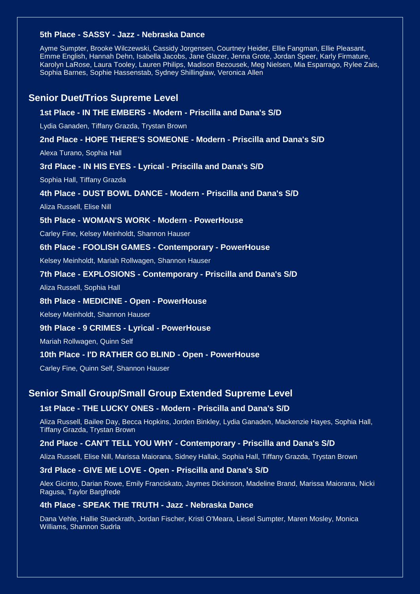#### **5th Place - SASSY - Jazz - Nebraska Dance**

Ayme Sumpter, Brooke Wilczewski, Cassidy Jorgensen, Courtney Heider, Ellie Fangman, Ellie Pleasant, Emme English, Hannah Dehn, Isabella Jacobs, Jane Glazer, Jenna Grote, Jordan Speer, Karly Firmature, Karolyn LaRose, Laura Tooley, Lauren Philips, Madison Bezousek, Meg Nielsen, Mia Esparrago, Rylee Zais, Sophia Barnes, Sophie Hassenstab, Sydney Shillinglaw, Veronica Allen

### **Senior Duet/Trios Supreme Level**

#### **1st Place - IN THE EMBERS - Modern - Priscilla and Dana's S/D**

Lydia Ganaden, Tiffany Grazda, Trystan Brown

#### **2nd Place - HOPE THERE'S SOMEONE - Modern - Priscilla and Dana's S/D**

Alexa Turano, Sophia Hall

#### **3rd Place - IN HIS EYES - Lyrical - Priscilla and Dana's S/D**

Sophia Hall, Tiffany Grazda

#### **4th Place - DUST BOWL DANCE - Modern - Priscilla and Dana's S/D**

Aliza Russell, Elise Nill

#### **5th Place - WOMAN'S WORK - Modern - PowerHouse**

Carley Fine, Kelsey Meinholdt, Shannon Hauser

#### **6th Place - FOOLISH GAMES - Contemporary - PowerHouse**

Kelsey Meinholdt, Mariah Rollwagen, Shannon Hauser

#### **7th Place - EXPLOSIONS - Contemporary - Priscilla and Dana's S/D**

Aliza Russell, Sophia Hall

#### **8th Place - MEDICINE - Open - PowerHouse**

Kelsey Meinholdt, Shannon Hauser

#### **9th Place - 9 CRIMES - Lyrical - PowerHouse**

Mariah Rollwagen, Quinn Self

#### **10th Place - I'D RATHER GO BLIND - Open - PowerHouse**

Carley Fine, Quinn Self, Shannon Hauser

#### **Senior Small Group/Small Group Extended Supreme Level**

#### **1st Place - THE LUCKY ONES - Modern - Priscilla and Dana's S/D**

Aliza Russell, Bailee Day, Becca Hopkins, Jorden Binkley, Lydia Ganaden, Mackenzie Hayes, Sophia Hall, Tiffany Grazda, Trystan Brown

#### **2nd Place - CAN'T TELL YOU WHY - Contemporary - Priscilla and Dana's S/D**

Aliza Russell, Elise Nill, Marissa Maiorana, Sidney Hallak, Sophia Hall, Tiffany Grazda, Trystan Brown

#### **3rd Place - GIVE ME LOVE - Open - Priscilla and Dana's S/D**

Alex Gicinto, Darian Rowe, Emily Franciskato, Jaymes Dickinson, Madeline Brand, Marissa Maiorana, Nicki Ragusa, Taylor Bargfrede

#### **4th Place - SPEAK THE TRUTH - Jazz - Nebraska Dance**

Dana Vehle, Hallie Stueckrath, Jordan Fischer, Kristi O'Meara, Liesel Sumpter, Maren Mosley, Monica Williams, Shannon Sudrla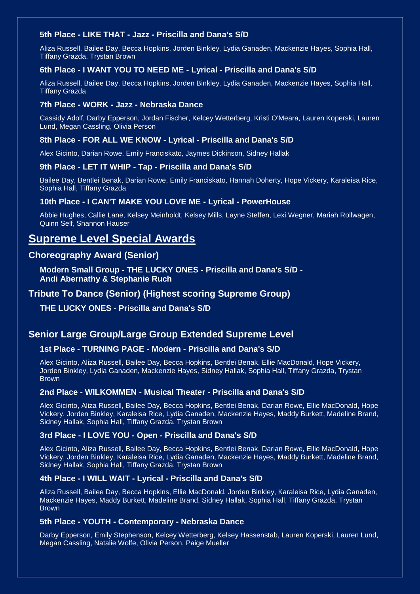#### **5th Place - LIKE THAT - Jazz - Priscilla and Dana's S/D**

Aliza Russell, Bailee Day, Becca Hopkins, Jorden Binkley, Lydia Ganaden, Mackenzie Hayes, Sophia Hall, Tiffany Grazda, Trystan Brown

#### **6th Place - I WANT YOU TO NEED ME - Lyrical - Priscilla and Dana's S/D**

Aliza Russell, Bailee Day, Becca Hopkins, Jorden Binkley, Lydia Ganaden, Mackenzie Hayes, Sophia Hall, Tiffany Grazda

#### **7th Place - WORK - Jazz - Nebraska Dance**

Cassidy Adolf, Darby Epperson, Jordan Fischer, Kelcey Wetterberg, Kristi O'Meara, Lauren Koperski, Lauren Lund, Megan Cassling, Olivia Person

#### **8th Place - FOR ALL WE KNOW - Lyrical - Priscilla and Dana's S/D**

Alex Gicinto, Darian Rowe, Emily Franciskato, Jaymes Dickinson, Sidney Hallak

#### **9th Place - LET IT WHIP - Tap - Priscilla and Dana's S/D**

Bailee Day, Bentlei Benak, Darian Rowe, Emily Franciskato, Hannah Doherty, Hope Vickery, Karaleisa Rice, Sophia Hall, Tiffany Grazda

#### **10th Place - I CAN'T MAKE YOU LOVE ME - Lyrical - PowerHouse**

Abbie Hughes, Callie Lane, Kelsey Meinholdt, Kelsey Mills, Layne Steffen, Lexi Wegner, Mariah Rollwagen, Quinn Self, Shannon Hauser

## **Supreme Level Special Awards**

## **Choreography Award (Senior)**

**Modern Small Group - THE LUCKY ONES - Priscilla and Dana's S/D - Andi Abernathy & Stephanie Ruch**

## **Tribute To Dance (Senior) (Highest scoring Supreme Group)**

**THE LUCKY ONES - Priscilla and Dana's S/D**

#### **Senior Large Group/Large Group Extended Supreme Level**

#### **1st Place - TURNING PAGE - Modern - Priscilla and Dana's S/D**

Alex Gicinto, Aliza Russell, Bailee Day, Becca Hopkins, Bentlei Benak, Ellie MacDonald, Hope Vickery, Jorden Binkley, Lydia Ganaden, Mackenzie Hayes, Sidney Hallak, Sophia Hall, Tiffany Grazda, Trystan **Brown** 

#### **2nd Place - WILKOMMEN - Musical Theater - Priscilla and Dana's S/D**

Alex Gicinto, Aliza Russell, Bailee Day, Becca Hopkins, Bentlei Benak, Darian Rowe, Ellie MacDonald, Hope Vickery, Jorden Binkley, Karaleisa Rice, Lydia Ganaden, Mackenzie Hayes, Maddy Burkett, Madeline Brand, Sidney Hallak, Sophia Hall, Tiffany Grazda, Trystan Brown

#### **3rd Place - I LOVE YOU - Open - Priscilla and Dana's S/D**

Alex Gicinto, Aliza Russell, Bailee Day, Becca Hopkins, Bentlei Benak, Darian Rowe, Ellie MacDonald, Hope Vickery, Jorden Binkley, Karaleisa Rice, Lydia Ganaden, Mackenzie Hayes, Maddy Burkett, Madeline Brand, Sidney Hallak, Sophia Hall, Tiffany Grazda, Trystan Brown

#### **4th Place - I WILL WAIT - Lyrical - Priscilla and Dana's S/D**

Aliza Russell, Bailee Day, Becca Hopkins, Ellie MacDonald, Jorden Binkley, Karaleisa Rice, Lydia Ganaden, Mackenzie Hayes, Maddy Burkett, Madeline Brand, Sidney Hallak, Sophia Hall, Tiffany Grazda, Trystan Brown

#### **5th Place - YOUTH - Contemporary - Nebraska Dance**

Darby Epperson, Emily Stephenson, Kelcey Wetterberg, Kelsey Hassenstab, Lauren Koperski, Lauren Lund, Megan Cassling, Natalie Wolfe, Olivia Person, Paige Mueller